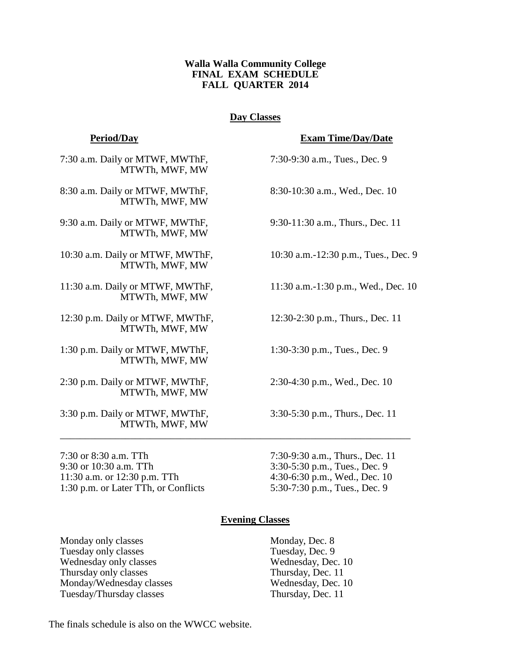### **Walla Walla Community College FINAL EXAM SCHEDULE FALL QUARTER 2014**

### **Day Classes**

### **Period/Day Exam Time/Day/Date**

7:30 a.m. Daily or MTWF, MWThF, 7:30-9:30 a.m., Tues., Dec. 9 MTWTh, MWF, MW

8:30 a.m. Daily or MTWF, MWThF, 8:30-10:30 a.m., Wed., Dec. 10 MTWTh, MWF, MW

9:30 a.m. Daily or MTWF, MWThF, 9:30-11:30 a.m., Thurs., Dec. 11 MTWTh, MWF, MW

10:30 a.m. Daily or MTWF, MWThF, 10:30 a.m.-12:30 p.m., Tues., Dec. 9 MTWTh, MWF, MW

11:30 a.m. Daily or MTWF, MWThF, 11:30 a.m.-1:30 p.m., Wed., Dec. 10 MTWTh, MWF, MW

12:30 p.m. Daily or MTWF, MWThF, 12:30-2:30 p.m., Thurs., Dec. 11 MTWTh, MWF, MW

1:30 p.m. Daily or MTWF, MWThF, 1:30-3:30 p.m., Tues., Dec. 9 MTWTh, MWF, MW

2:30 p.m. Daily or MTWF, MWThF, 2:30-4:30 p.m., Wed., Dec. 10 MTWTh, MWF, MW

3:30 p.m. Daily or MTWF, MWThF, 3:30-5:30 p.m., Thurs., Dec. 11 MTWTh, MWF, MW

7:30 or 8:30 a.m. TTh 7:30-9:30 a.m., Thurs., Dec. 11 9:30 or 10:30 a.m. TTh 3:30-5:30 p.m., Tues., Dec. 9 11:30 a.m. or 12:30 p.m. TTh 4:30-6:30 p.m., Wed., Dec. 10 1:30 p.m. or Later TTh, or Conflicts 5:30-7:30 p.m., Tues., Dec. 9

# **Evening Classes**

\_\_\_\_\_\_\_\_\_\_\_\_\_\_\_\_\_\_\_\_\_\_\_\_\_\_\_\_\_\_\_\_\_\_\_\_\_\_\_\_\_\_\_\_\_\_\_\_\_\_\_\_\_\_\_\_\_\_\_\_\_\_\_\_\_\_\_\_\_\_

Monday only classes Monday, Dec. 8 Tuesday only classes Tuesday, Dec. 9 Wednesday only classes Wednesday, Dec. 10 Thursday only classes Thursday, Dec. 11 Monday/Wednesday classes Wednesday, Dec. 10<br>Tuesday/Thursday classes Thursday, Dec. 11 Tuesday/Thursday classes

The finals schedule is also on the WWCC website.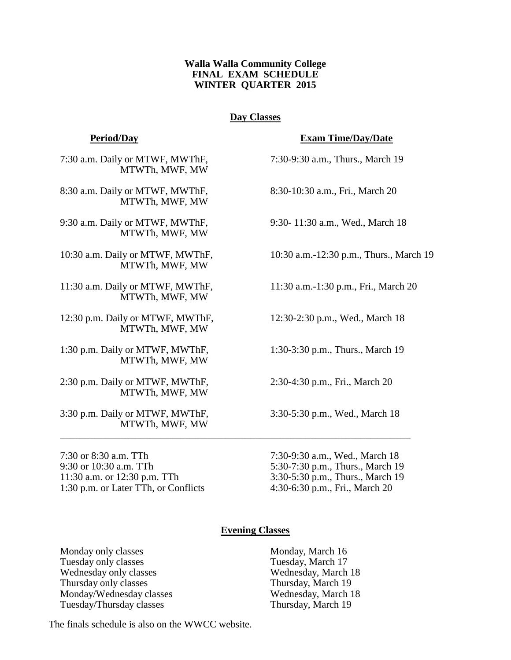### **Walla Walla Community College FINAL EXAM SCHEDULE WINTER QUARTER 2015**

### **Day Classes**

7:30 a.m. Daily or MTWF, MWThF, 7:30-9:30 a.m., Thurs., March 19 MTWTh, MWF, MW

8:30 a.m. Daily or MTWF, MWThF, 8:30-10:30 a.m., Fri., March 20 MTWTh, MWF, MW

9:30 a.m. Daily or MTWF, MWThF, 9:30- 11:30 a.m., Wed., March 18 MTWTh, MWF, MW

MTWTh, MWF, MW

11:30 a.m. Daily or MTWF, MWThF, 11:30 a.m.-1:30 p.m., Fri., March 20 MTWTh, MWF, MW

12:30 p.m. Daily or MTWF, MWThF, 12:30-2:30 p.m., Wed., March 18 MTWTh, MWF, MW

1:30 p.m. Daily or MTWF, MWThF, 1:30-3:30 p.m., Thurs., March 19 MTWTh, MWF, MW

2:30 p.m. Daily or MTWF, MWThF, 2:30-4:30 p.m., Fri., March 20 MTWTh, MWF, MW

3:30 p.m. Daily or MTWF, MWThF, 3:30-5:30 p.m., Wed., March 18 MTWTh, MWF, MW \_\_\_\_\_\_\_\_\_\_\_\_\_\_\_\_\_\_\_\_\_\_\_\_\_\_\_\_\_\_\_\_\_\_\_\_\_\_\_\_\_\_\_\_\_\_\_\_\_\_\_\_\_\_\_\_\_\_\_\_\_\_\_\_\_\_\_\_\_\_

7:30 or 8:30 a.m. TTh 7:30-9:30 a.m., Wed., March 18 9:30 or 10:30 a.m. TTh 5:30-7:30 p.m., Thurs., March 19 11:30 a.m. or 12:30 p.m. TTh 3:30-5:30 p.m., Thurs., March 19 1:30 p.m. or Later TTh, or Conflicts 4:30-6:30 p.m., Fri., March 20

**Period/Day Exam Time/Day/Date**

10:30 a.m. Daily or MTWF, MWThF, 10:30 a.m.-12:30 p.m., Thurs., March 19

### **Evening Classes**

Monday only classes Monday, March 16 Tuesday only classes Tuesday, March 17 Wednesday only classes Wednesday, March 18 Thursday only classes Thursday, March 19 Monday/Wednesday classes Wednesday, March 18 Tuesday/Thursday classes Thursday, March 19

The finals schedule is also on the WWCC website.